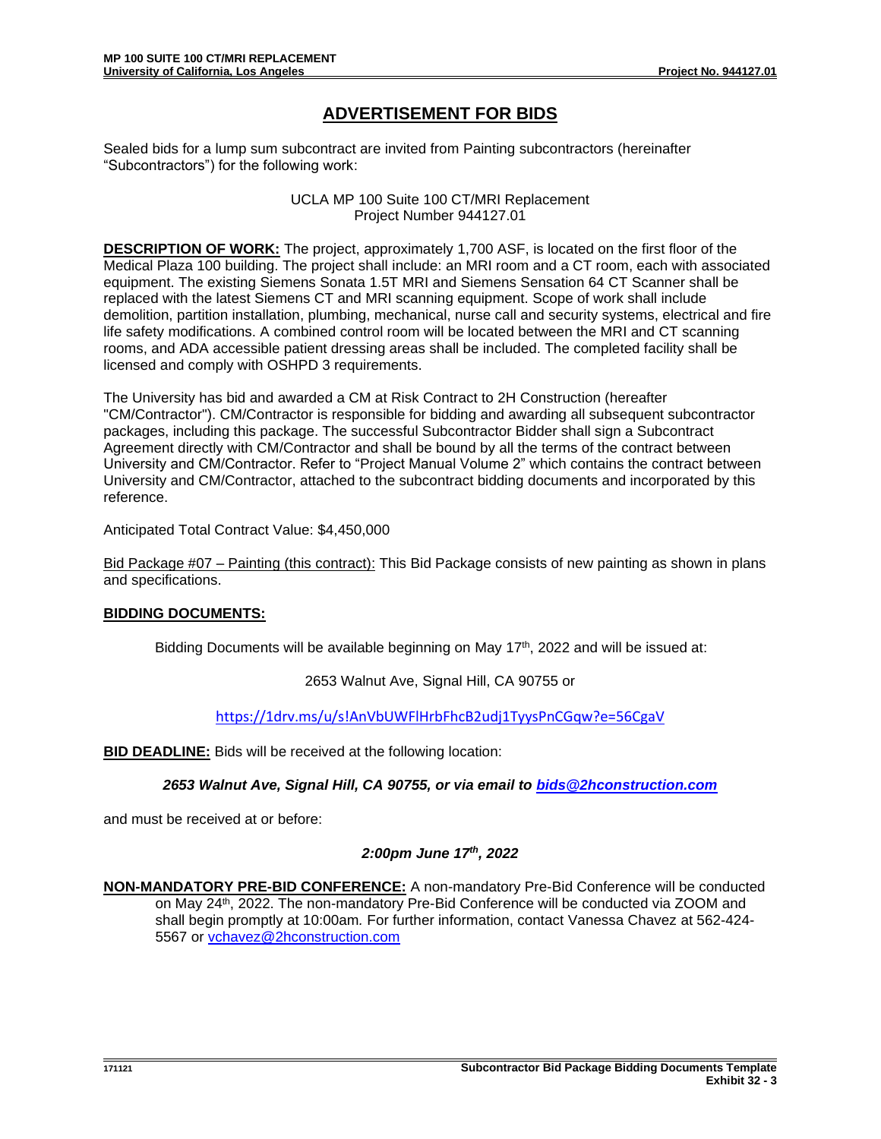# **ADVERTISEMENT FOR BIDS**

Sealed bids for a lump sum subcontract are invited from Painting subcontractors (hereinafter "Subcontractors") for the following work:

> UCLA MP 100 Suite 100 CT/MRI Replacement Project Number 944127.01

**DESCRIPTION OF WORK:** The project, approximately 1,700 ASF, is located on the first floor of the Medical Plaza 100 building. The project shall include: an MRI room and a CT room, each with associated equipment. The existing Siemens Sonata 1.5T MRI and Siemens Sensation 64 CT Scanner shall be replaced with the latest Siemens CT and MRI scanning equipment. Scope of work shall include demolition, partition installation, plumbing, mechanical, nurse call and security systems, electrical and fire life safety modifications. A combined control room will be located between the MRI and CT scanning rooms, and ADA accessible patient dressing areas shall be included. The completed facility shall be licensed and comply with OSHPD 3 requirements.

The University has bid and awarded a CM at Risk Contract to 2H Construction (hereafter "CM/Contractor"). CM/Contractor is responsible for bidding and awarding all subsequent subcontractor packages, including this package. The successful Subcontractor Bidder shall sign a Subcontract Agreement directly with CM/Contractor and shall be bound by all the terms of the contract between University and CM/Contractor. Refer to "Project Manual Volume 2" which contains the contract between University and CM/Contractor, attached to the subcontract bidding documents and incorporated by this reference.

Anticipated Total Contract Value: \$4,450,000

Bid Package #07 – Painting (this contract): This Bid Package consists of new painting as shown in plans and specifications.

## **BIDDING DOCUMENTS:**

Bidding Documents will be available beginning on May  $17<sup>th</sup>$ , 2022 and will be issued at:

## 2653 Walnut Ave, Signal Hill, CA 90755 or

<https://1drv.ms/u/s!AnVbUWFlHrbFhcB2udj1TyysPnCGqw?e=56CgaV>

**BID DEADLINE:** Bids will be received at the following location:

*2653 Walnut Ave, Signal Hill, CA 90755, or via email to [bids@2hconstruction.com](mailto:bids@2hconstruction.com)*

and must be received at or before:

## *2:00pm June 17th, 2022*

**NON-MANDATORY PRE-BID CONFERENCE:** A non-mandatory Pre-Bid Conference will be conducted on May 24<sup>th</sup>, 2022. The non-mandatory Pre-Bid Conference will be conducted via ZOOM and shall begin promptly at 10:00am*.* For further information, contact Vanessa Chavez at 562-424- 5567 or [vchavez@2hconstruction.com](mailto:vchavez@2hconstruction.com)